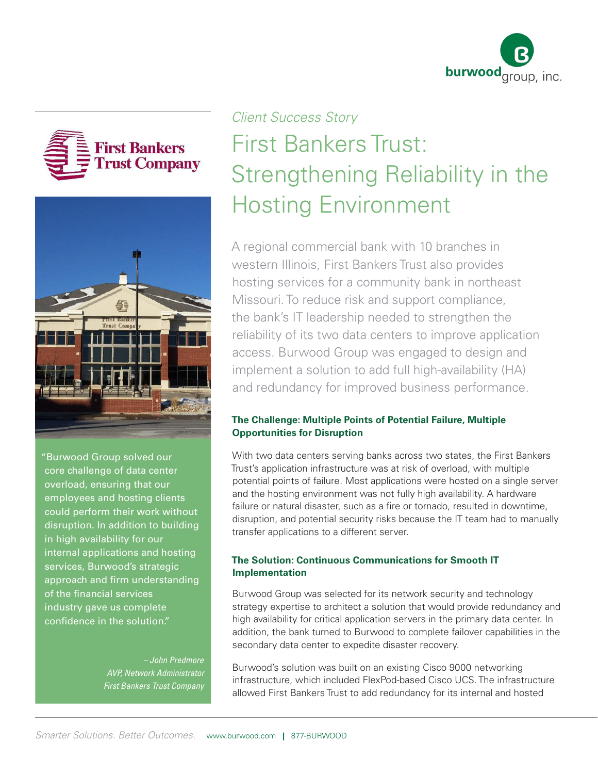





"Burwood Group solved our core challenge of data center overload, ensuring that our employees and hosting clients could perform their work without disruption. In addition to building in high availability for our internal applications and hosting services, Burwood's strategic approach and firm understanding of the financial services industry gave us complete confidence in the solution."

> *– John Predmore AVP, Network Administrator First Bankers Trust Company*

# *Client Success Story*  First Bankers Trust: Strengthening Reliability in the Hosting Environment

A regional commercial bank with 10 branches in western Illinois, First Bankers Trust also provides hosting services for a community bank in northeast Missouri. To reduce risk and support compliance, the bank's IT leadership needed to strengthen the reliability of its two data centers to improve application access. Burwood Group was engaged to design and implement a solution to add full high-availability (HA) and redundancy for improved business performance.

## **The Challenge: Multiple Points of Potential Failure, Multiple Opportunities for Disruption**

With two data centers serving banks across two states, the First Bankers Trust's application infrastructure was at risk of overload, with multiple potential points of failure. Most applications were hosted on a single server and the hosting environment was not fully high availability. A hardware failure or natural disaster, such as a fire or tornado, resulted in downtime, disruption, and potential security risks because the IT team had to manually transfer applications to a different server.

## **The Solution: Continuous Communications for Smooth IT Implementation**

Burwood Group was selected for its network security and technology strategy expertise to architect a solution that would provide redundancy and high availability for critical application servers in the primary data center. In addition, the bank turned to Burwood to complete failover capabilities in the secondary data center to expedite disaster recovery.

Burwood's solution was built on an existing Cisco 9000 networking infrastructure, which included FlexPod-based Cisco UCS. The infrastructure allowed First Bankers Trust to add redundancy for its internal and hosted